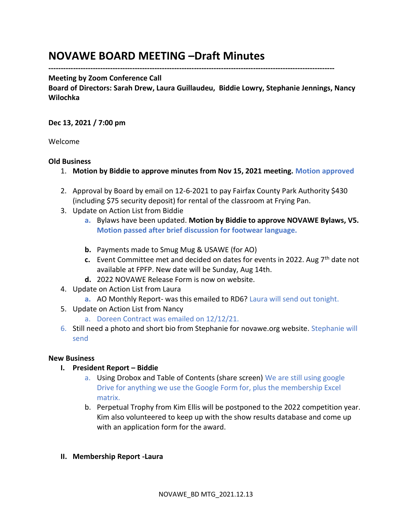# **NOVAWE BOARD MEETING –Draft Minutes**

**--------------------------------------------------------------------------------------------------------------------**

#### **Meeting by Zoom Conference Call**

**Board of Directors: Sarah Drew, Laura Guillaudeu, Biddie Lowry, Stephanie Jennings, Nancy Wilochka**

## **Dec 13, 2021 / 7:00 pm**

Welcome

#### **Old Business**

- 1. **Motion by Biddie to approve minutes from Nov 15, 2021 meeting. Motion approved**
- 2. Approval by Board by email on 12-6-2021 to pay Fairfax County Park Authority \$430 (including \$75 security deposit) for rental of the classroom at Frying Pan.
- 3. Update on Action List from Biddie
	- **a.** Bylaws have been updated. **Motion by Biddie to approve NOVAWE Bylaws, V5. Motion passed after brief discussion for footwear language.**
	- **b.** Payments made to Smug Mug & USAWE (for AO)
	- **c.** Event Committee met and decided on dates for events in 2022. Aug 7<sup>th</sup> date not available at FPFP. New date will be Sunday, Aug 14th.
	- **d.** 2022 NOVAWE Release Form is now on website.
- 4. Update on Action List from Laura
	- **a.** AO Monthly Report- was this emailed to RD6? Laura will send out tonight.
- 5. Update on Action List from Nancy
	- a. Doreen Contract was emailed on 12/12/21.
- 6. Still need a photo and short bio from Stephanie for novawe.org website. Stephanie will send

## **New Business**

- **I. President Report – Biddie**
	- a. Using Drobox and Table of Contents (share screen) We are still using google Drive for anything we use the Google Form for, plus the membership Excel matrix.
	- b. Perpetual Trophy from Kim Ellis will be postponed to the 2022 competition year. Kim also volunteered to keep up with the show results database and come up with an application form for the award.

## **II. Membership Report -Laura**